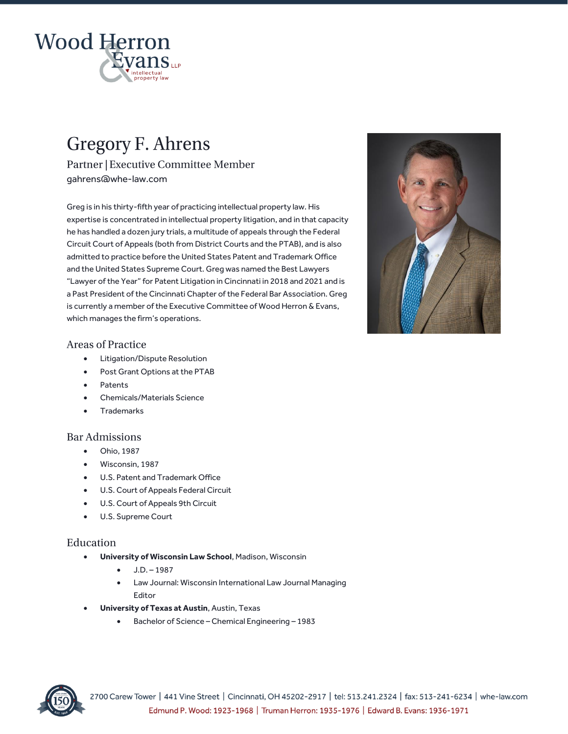

# **Gregory F. Ahrens**

Partner | Executive Committee Member [gahrens@whe-law.com](mailto:sgraber@whe-law.com)

Greg is in his thirty-fifth year of practicing intellectual property law. His expertise is concentrated in intellectual property litigation, and in that capacity he has handled a dozen jury trials, a multitude of appeals through the Federal Circuit Court of Appeals (both from District Courts and the PTAB), and is also admitted to practice before the United States Patent and Trademark Office and the United States Supreme Court. Greg was named the Best Lawyers "Lawyer of the Year" for Patent Litigation in Cincinnati in 2018 and 2021 and is a Past President of the Cincinnati Chapter of the Federal Bar Association. Greg is currently a member of the Executive Committee of Wood Herron & Evans, which manages the firm's operations.



# **Areas of Practice**

- Litigation/Dispute Resolution
- Post Grant Options at the PTAB
- Patents
- Chemicals/Materials Science
- Trademarks

## **Bar Admissions**

- Ohio, 1987
- Wisconsin, 1987
- U.S. Patent and Trademark Office
- U.S. Court of Appeals Federal Circuit
- U.S. Court of Appeals 9th Circuit
- U.S. Supreme Court

## Education

- **University of Wisconsin Law School**, Madison, Wisconsin
	- $-$  J.D. 1987
	- Law Journal: Wisconsin International Law Journal Managing Editor
- **University of Texas at Austin**, Austin, Texas
	- Bachelor of Science Chemical Engineering 1983